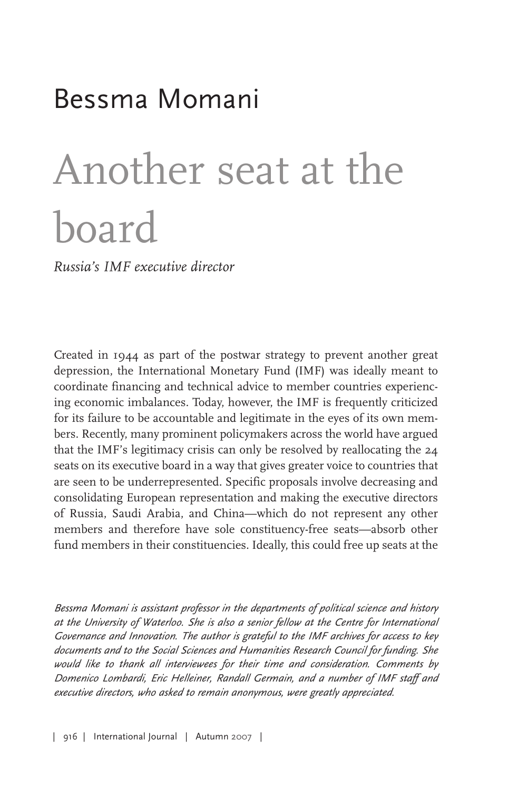## Bessma Momani

# Another seat at the board

*Russia's IMF executive director*

Created in 1944 as part of the postwar strategy to prevent another great depression, the International Monetary Fund (IMF) was ideally meant to coordinate financing and technical advice to member countries experiencing economic imbalances. Today, however, the IMF is frequently criticized for its failure to be accountable and legitimate in the eyes of its own members. Recently, many prominent policymakers across the world have argued that the IMF's legitimacy crisis can only be resolved by reallocating the 24 seats on its executive board in a way that gives greater voice to countries that are seen to be underrepresented. Specific proposals involve decreasing and consolidating European representation and making the executive directors of Russia, Saudi Arabia, and China—which do not represent any other members and therefore have sole constituency-free seats—absorb other fund members in their constituencies. Ideally, this could free up seats at the

*Bessma Momani is assistant professor in the departments of political science and history at the University of Waterloo. She is also <sup>a</sup> senior fellow at the Centre for International Governance and Innovation. The author is grateful to the IMF archives for access to key documents and to the Social Sciences and Humanities Research Council for funding. She would like to thank all interviewees for their time and consideration. Comments by Domenico Lombardi, Eric Helleiner, Randall Germain, and <sup>a</sup> number of IMF staff and executive directors, who asked to remain anonymous, were greatly appreciated.*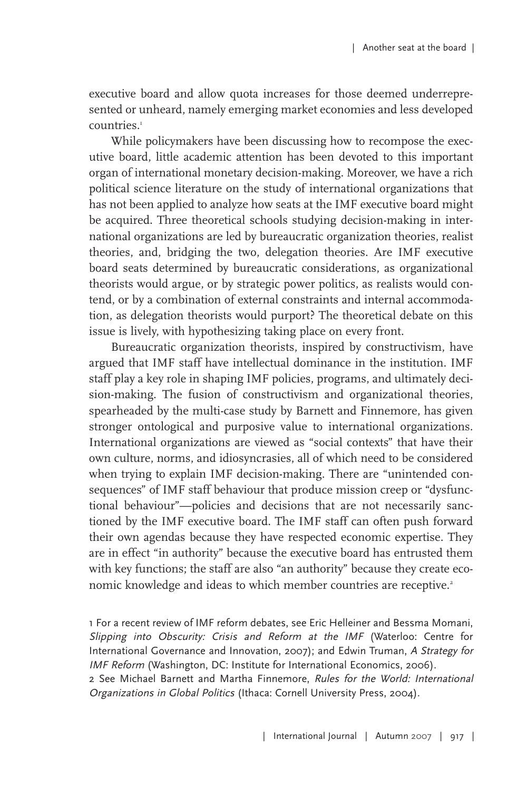executive board and allow quota increases for those deemed underrepresented or unheard, namely emerging market economies and less developed countries. 1

While policymakers have been discussing how to recompose the executive board, little academic attention has been devoted to this important organ of international monetary decision-making. Moreover, we have a rich political science literature on the study of international organizations that has not been applied to analyze how seats at the IMF executive board might be acquired. Three theoretical schools studying decision-making in international organizations are led by bureaucratic organization theories, realist theories, and, bridging the two, delegation theories. Are IMF executive board seats determined by bureaucratic considerations, as organizational theorists would argue, or by strategic power politics, as realists would contend, or by a combination of external constraints and internal accommodation, as delegation theorists would purport? The theoretical debate on this issue is lively, with hypothesizing taking place on every front.

Bureaucratic organization theorists, inspired by constructivism, have argued that IMF staff have intellectual dominance in the institution. IMF staff play a key role in shaping IMF policies, programs, and ultimately decision-making. The fusion of constructivism and organizational theories, spearheaded by the multi-case study by Barnett and Finnemore, has given stronger ontological and purposive value to international organizations. International organizations are viewed as "social contexts" that have their own culture, norms, and idiosyncrasies, all of which need to be considered when trying to explain IMF decision-making. There are "unintended consequences" of IMF staff behaviour that produce mission creep or "dysfunctional behaviour"—policies and decisions that are not necessarily sanctioned by the IMF executive board. The IMF staff can often push forward their own agendas because they have respected economic expertise. They are in effect "in authority" because the executive board has entrusted them with key functions; the staff are also "an authority" because they create economic knowledge and ideas to which member countries are receptive. 2

1 For a recent review of IMF reform debates, see Eric Helleiner and Bessma Momani, Slipping into Obscurity: Crisis and Reform at the IMF (Waterloo: Centre for International Governance and Innovation, 2007); and Edwin Truman, <sup>A</sup> Strategy for IMF Reform (Washington, DC: Institute for International Economics, 2006).

2 See Michael Barnett and Martha Finnemore, Rules for the World: International Organizations in Global Politics (Ithaca: Cornell University Press, 2004).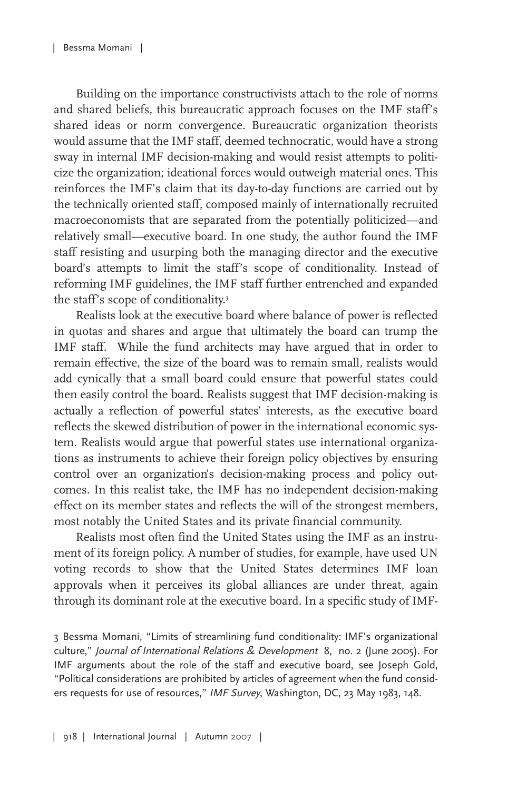Building on the importance constructivists attach to the role of norms and shared beliefs, this bureaucratic approach focuses on the IMF staff's shared ideas or norm convergence. Bureaucratic organization theorists would assume that the IMF staff, deemed technocratic, would have a strong sway in internal IMF decision-making and would resist attempts to politicize the organization; ideational forces would outweigh material ones. This reinforces the IMF's claim that its day-to-day functions are carried out by the technically oriented staff, composed mainly of internationally recruited macroeconomists that are separated from the potentially politicized—and relatively small—executive board. In one study, the author found the IMF staff resisting and usurping both the managing director and the executive board's attempts to limit the staff's scope of conditionality. Instead of reforming IMF guidelines, the IMF staff further entrenched and expanded the staff's scope of conditionality. 3

Realists look at the executive board where balance of power is reflected in quotas and shares and argue that ultimately the board can trump the IMF staff. While the fund architects may have argued that in order to remain effective, the size of the board was to remain small, realists would add cynically that a small board could ensure that powerful states could then easily control the board. Realists suggest that IMF decision-making is actually a reflection of powerful states' interests, as the executive board reflects the skewed distribution of power in the international economic system. Realists would argue that powerful states use international organizations as instruments to achieve their foreign policy objectives by ensuring control over an organization's decision-making process and policy outcomes. In this realist take, the IMF has no independent decision-making effect on its member states and reflects the will of the strongest members, most notably the United States and its private financial community.

Realists most often find the United States using the IMF as an instrument of its foreign policy. A number of studies, for example, have used UN voting records to show that the United States determines IMF loan approvals when it perceives its global alliances are under threat, again through its dominant role at the executive board. In a specific study of IMF-

3 Bessma Momani, "Limits of streamlining fund conditionality: IMF's organizational culture," Journal of International Relations & Development 8, no. 2 (June 2005). For IMF arguments about the role of the staff and executive board, see Joseph Gold, "Political considerations are prohibited by articles of agreement when the fund considers requests for use of resources," IMF Survey, Washington, DC, 23 May 1983, 148.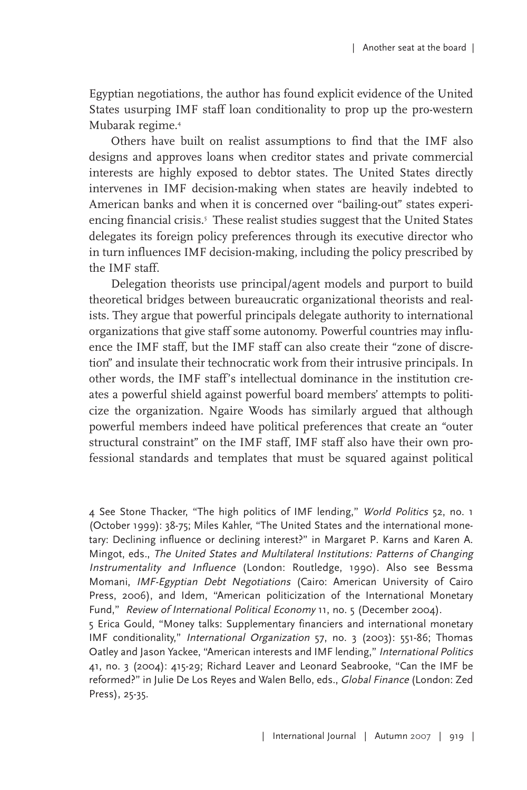Egyptian negotiations, the author has found explicit evidence of the United States usurping IMF staff loan conditionality to prop up the pro-western Mubarak regime. 4

Others have built on realist assumptions to find that the IMF also designs and approves loans when creditor states and private commercial interests are highly exposed to debtor states. The United States directly intervenes in IMF decision-making when states are heavily indebted to American banks and when it is concerned over "bailing-out" states experiencing financial crisis. <sup>5</sup> These realist studies suggest that the United States delegates its foreign policy preferences through its executive director who in turn influences IMF decision-making, including the policy prescribed by the IMF staff.

Delegation theorists use principal/agent models and purport to build theoretical bridges between bureaucratic organizational theorists and realists. They argue that powerful principals delegate authority to international organizations that give staff some autonomy. Powerful countries may influence the IMF staff, but the IMF staff can also create their "zone of discretion" and insulate their technocratic work from their intrusive principals. In other words, the IMF staff's intellectual dominance in the institution creates a powerful shield against powerful board members' attempts to politicize the organization. Ngaire Woods has similarly argued that although powerful members indeed have political preferences that create an "outer structural constraint" on the IMF staff, IMF staff also have their own professional standards and templates that must be squared against political

4 See Stone Thacker, "The high politics of IMF lending," World Politics 52, no. 1 (October 1999): 38-75; Miles Kahler, "The United States and the international monetary: Declining influence or declining interest?" in Margaret P. Karns and Karen A. Mingot, eds., The United States and Multilateral Institutions: Patterns of Changing Instrumentality and Influence (London: Routledge, 1990). Also see Bessma Momani, IMF-Egyptian Debt Negotiations (Cairo: American University of Cairo Press, 2006), and Idem, "American politicization of the International Monetary Fund," Review of International Political Economy 11, no. 5 (December 2004).

5 Erica Gould, "Money talks: Supplementary financiers and international monetary IMF conditionality," International Organization 57, no. 3 (2003): 551-86; Thomas Oatley and Jason Yackee, "American interests and IMF lending," International Politics 41, no. 3 (2004): 415-29; Richard Leaver and Leonard Seabrooke, "Can the IMF be reformed?" in Julie De Los Reyes and Walen Bello, eds., Global Finance (London: Zed Press), 25-35.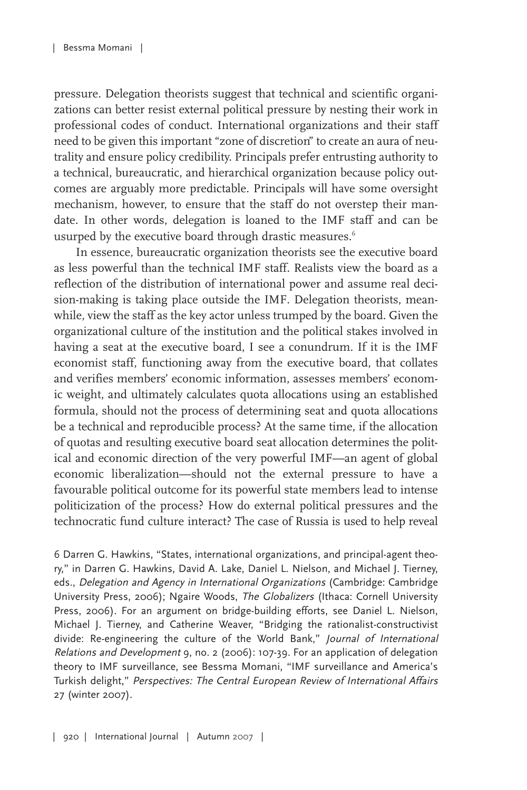pressure. Delegation theorists suggest that technical and scientific organizations can better resist external political pressure by nesting their work in professional codes of conduct. International organizations and their staff need to be given this important "zone of discretion" to create an aura of neutrality and ensure policy credibility. Principals prefer entrusting authority to a technical, bureaucratic, and hierarchical organization because policy outcomes are arguably more predictable. Principals will have some oversight mechanism, however, to ensure that the staff do not overstep their mandate. In other words, delegation is loaned to the IMF staff and can be usurped by the executive board through drastic measures. 6

In essence, bureaucratic organization theorists see the executive board as less powerful than the technical IMF staff. Realists view the board as a reflection of the distribution of international power and assume real decision-making is taking place outside the IMF. Delegation theorists, meanwhile, view the staff as the key actor unless trumped by the board. Given the organizational culture of the institution and the political stakes involved in having a seat at the executive board, I see a conundrum. If it is the IMF economist staff, functioning away from the executive board, that collates and verifies members' economic information, assesses members' economic weight, and ultimately calculates quota allocations using an established formula, should not the process of determining seat and quota allocations be a technical and reproducible process? At the same time, if the allocation of quotas and resulting executive board seat allocation determines the political and economic direction of the very powerful IMF—an agent of global economic liberalization—should not the external pressure to have a favourable political outcome for its powerful state members lead to intense politicization of the process? How do external political pressures and the technocratic fund culture interact? The case of Russia is used to help reveal

6 Darren G. Hawkins, "States, international organizations, and principal-agent theory," in Darren G. Hawkins, David A. Lake, Daniel L. Nielson, and Michael J. Tierney, eds., Delegation and Agency in International Organizations (Cambridge: Cambridge University Press, 2006); Ngaire Woods, The Globalizers (Ithaca: Cornell University Press, 2006). For an argument on bridge-building efforts, see Daniel L. Nielson, Michael J. Tierney, and Catherine Weaver, "Bridging the rationalist-constructivist divide: Re-engineering the culture of the World Bank," Journal of International Relations and Development 9, no. 2 (2006): 107-39. For an application of delegation theory to IMF surveillance, see Bessma Momani, "IMF surveillance and America's Turkish delight," Perspectives: The Central European Review of International Affairs 27 (winter 2007).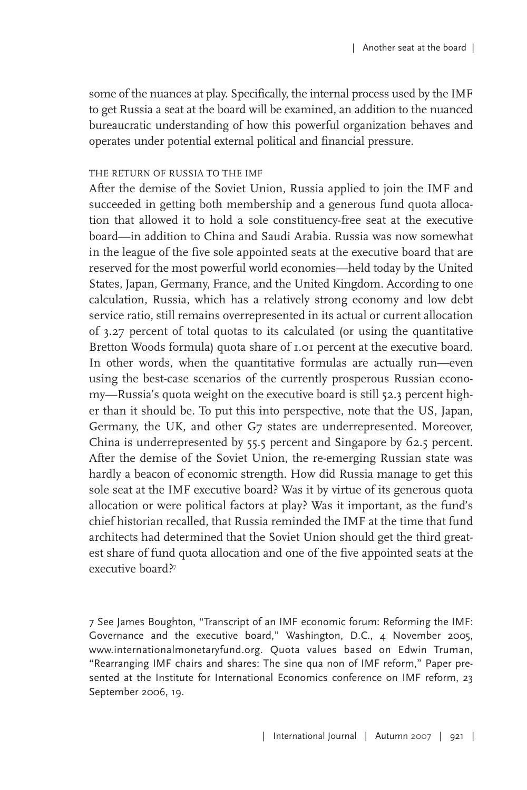some of the nuances at play. Specifically, the internal process used by the IMF to get Russia a seat at the board will be examined, an addition to the nuanced bureaucratic understanding of how this powerful organization behaves and operates under potential external political and financial pressure.

### THE RETURN OF RUSSIA TO THE IMF

After the demise of the Soviet Union, Russia applied to join the IMF and succeeded in getting both membership and a generous fund quota allocation that allowed it to hold a sole constituency-free seat at the executive board—in addition to China and Saudi Arabia. Russia was now somewhat in the league of the five sole appointed seats at the executive board that are reserved for the most powerful world economies—held today by the United States, Japan, Germany, France, and the United Kingdom. According to one calculation, Russia, which has a relatively strong economy and low debt service ratio, still remains overrepresented in its actual or current allocation of 3.27 percent of total quotas to its calculated (or using the quantitative Bretton Woods formula) quota share of 1.01 percent at the executive board. In other words, when the quantitative formulas are actually run—even using the best-case scenarios of the currently prosperous Russian economy—Russia's quota weight on the executive board is still 52.3 percent higher than it should be. To put this into perspective, note that the US, Japan, Germany, the UK, and other G7 states are underrepresented. Moreover, China is underrepresented by 55.5 percent and Singapore by 62.5 percent. After the demise of the Soviet Union, the re-emerging Russian state was hardly a beacon of economic strength. How did Russia manage to get this sole seat at the IMF executive board? Was it by virtue of its generous quota allocation or were political factors at play? Was it important, as the fund's chief historian recalled, that Russia reminded the IMF at the time that fund architects had determined that the Soviet Union should get the third greatest share of fund quota allocation and one of the five appointed seats at the executive board?<sup>7</sup>

7 See James Boughton, "Transcript of an IMF economic forum: Reforming the IMF: Governance and the executive board," Washington, D.C., 4 November 2005, www.internationalmonetaryfund.org. Quota values based on Edwin Truman, "Rearranging IMF chairs and shares: The sine qua non of IMF reform," Paper presented at the Institute for International Economics conference on IMF reform, 23 September 2006, 19.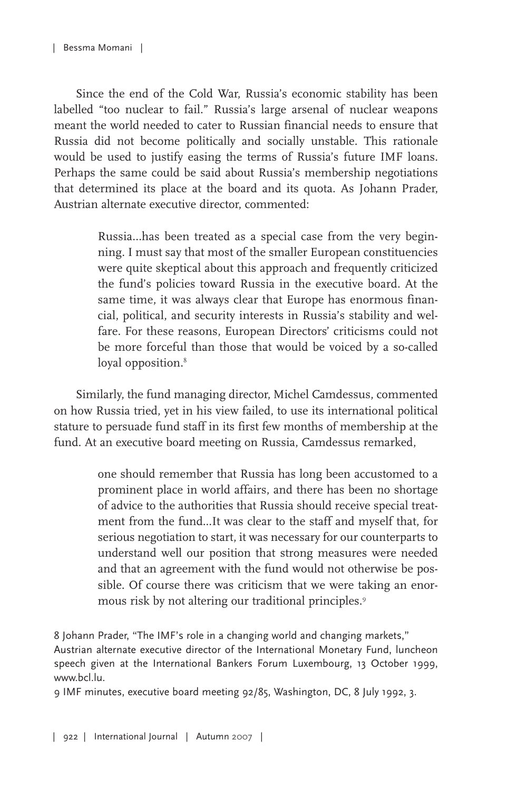Since the end of the Cold War, Russia's economic stability has been labelled "too nuclear to fail." Russia's large arsenal of nuclear weapons meant the world needed to cater to Russian financial needs to ensure that Russia did not become politically and socially unstable. This rationale would be used to justify easing the terms of Russia's future IMF loans. Perhaps the same could be said about Russia's membership negotiations that determined its place at the board and its quota. As Johann Prader, Austrian alternate executive director, commented:

> Russia...has been treated as a special case from the very beginning. I must say that most of the smaller European constituencies were quite skeptical about this approach and frequently criticized the fund's policies toward Russia in the executive board. At the same time, it was always clear that Europe has enormous financial, political, and security interests in Russia's stability and welfare. For these reasons, European Directors' criticisms could not be more forceful than those that would be voiced by a so-called loyal opposition. 8

Similarly, the fund managing director, Michel Camdessus, commented on how Russia tried, yet in his view failed, to use its international political stature to persuade fund staff in its first few months of membership at the fund. At an executive board meeting on Russia, Camdessus remarked,

> one should remember that Russia has long been accustomed to a prominent place in world affairs, and there has been no shortage of advice to the authorities that Russia should receive special treatment from the fund...It was clear to the staff and myself that, for serious negotiation to start, it was necessary for our counterparts to understand well our position that strong measures were needed and that an agreement with the fund would not otherwise be possible. Of course there was criticism that we were taking an enormous risk by not altering our traditional principles. 9

8 Johann Prader, "The IMF's role in a changing world and changing markets," Austrian alternate executive director of the International Monetary Fund, luncheon speech given at the International Bankers Forum Luxembourg, 13 October 1999, www.bcl.lu.

9 IMF minutes, executive board meeting 92/85, Washington, DC, 8 July 1992, 3.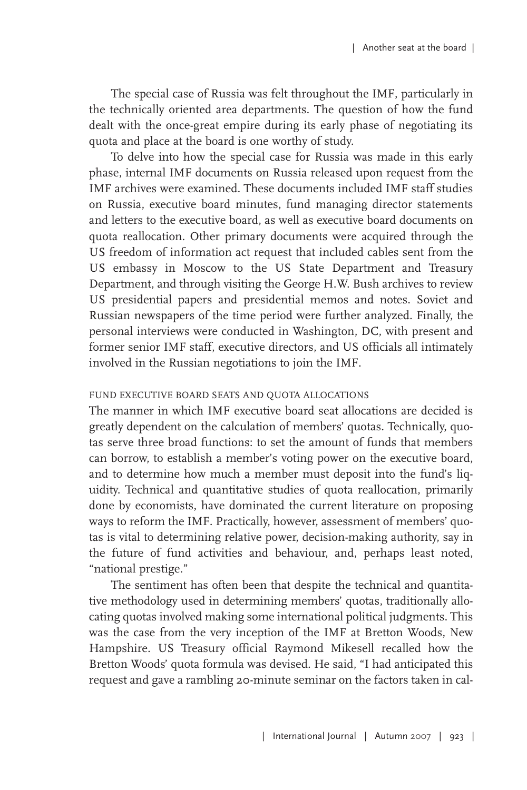The special case of Russia was felt throughout the IMF, particularly in the technically oriented area departments. The question of how the fund dealt with the once-great empire during its early phase of negotiating its quota and place at the board is one worthy of study.

To delve into how the special case for Russia was made in this early phase, internal IMF documents on Russia released upon request from the IMF archives were examined. These documents included IMF staff studies on Russia, executive board minutes, fund managing director statements and letters to the executive board, as well as executive board documents on quota reallocation. Other primary documents were acquired through the US freedom of information act request that included cables sent from the US embassy in Moscow to the US State Department and Treasury Department, and through visiting the George H.W. Bush archives to review US presidential papers and presidential memos and notes. Soviet and Russian newspapers of the time period were further analyzed. Finally, the personal interviews were conducted in Washington, DC, with present and former senior IMF staff, executive directors, and US officials all intimately involved in the Russian negotiations to join the IMF.

#### FUND EXECUTIVE BOARD SEATS AND QUOTA ALLOCATIONS

The manner in which IMF executive board seat allocations are decided is greatly dependent on the calculation of members' quotas. Technically, quotas serve three broad functions: to set the amount of funds that members can borrow, to establish a member's voting power on the executive board, and to determine how much a member must deposit into the fund's liquidity. Technical and quantitative studies of quota reallocation, primarily done by economists, have dominated the current literature on proposing ways to reform the IMF. Practically, however, assessment of members' quotas is vital to determining relative power, decision-making authority, say in the future of fund activities and behaviour, and, perhaps least noted, "national prestige."

The sentiment has often been that despite the technical and quantitative methodology used in determining members' quotas, traditionally allocating quotas involved making some international political judgments. This was the case from the very inception of the IMF at Bretton Woods, New Hampshire. US Treasury official Raymond Mikesell recalled how the Bretton Woods' quota formula was devised. He said, "I had anticipated this request and gave a rambling 20-minute seminar on the factors taken in cal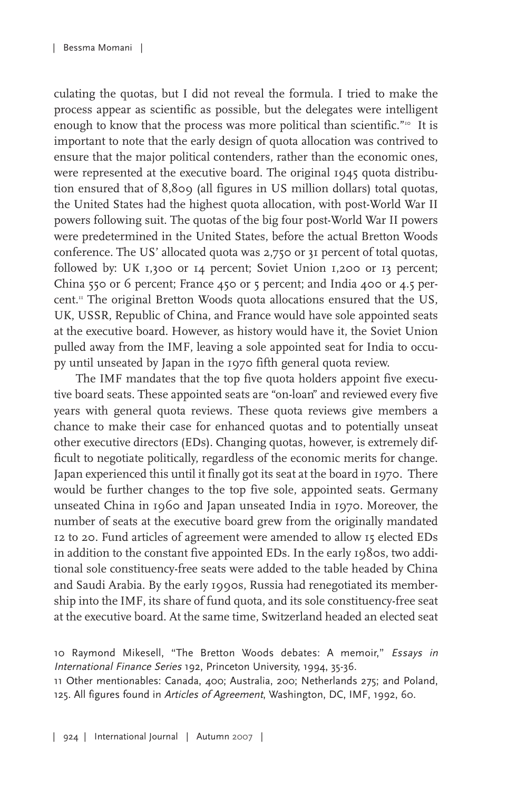culating the quotas, but I did not reveal the formula. I tried to make the process appear as scientific as possible, but the delegates were intelligent enough to know that the process was more political than scientific."<sup>10</sup> It is important to note that the early design of quota allocation was contrived to ensure that the major political contenders, rather than the economic ones, were represented at the executive board. The original 1945 quota distribution ensured that of 8,809 (all figures in US million dollars) total quotas, the United States had the highest quota allocation, with post-World War II powers following suit. The quotas of the big four post-World War II powers were predetermined in the United States, before the actual Bretton Woods conference. The US' allocated quota was 2,750 or 31 percent of total quotas, followed by: UK 1,300 or 14 percent; Soviet Union 1,200 or 13 percent; China 550 or 6 percent; France 450 or 5 percent; and India 400 or 4.5 percent. <sup>11</sup> The original Bretton Woods quota allocations ensured that the US, UK, USSR, Republic of China, and France would have sole appointed seats at the executive board. However, as history would have it, the Soviet Union pulled away from the IMF, leaving a sole appointed seat for India to occupy until unseated by Japan in the 1970 fifth general quota review.

The IMF mandates that the top five quota holders appoint five executive board seats. These appointed seats are "on-loan" and reviewed every five years with general quota reviews. These quota reviews give members a chance to make their case for enhanced quotas and to potentially unseat other executive directors (EDs). Changing quotas, however, is extremely difficult to negotiate politically, regardless of the economic merits for change. Japan experienced this until it finally got its seat at the board in 1970. There would be further changes to the top five sole, appointed seats. Germany unseated China in 1960 and Japan unseated India in 1970. Moreover, the number of seats at the executive board grew from the originally mandated 12 to 20. Fund articles of agreement were amended to allow 15 elected EDs in addition to the constant five appointed EDs. In the early 1980s, two additional sole constituency-free seats were added to the table headed by China and Saudi Arabia. By the early 1990s, Russia had renegotiated its membership into the IMF, its share of fund quota, and its sole constituency-free seat at the executive board. At the same time, Switzerland headed an elected seat

11 Other mentionables: Canada, 400; Australia, 200; Netherlands 275; and Poland, 125. All figures found in Articles of Agreement, Washington, DC, IMF, 1992, 60.

<sup>10</sup> Raymond Mikesell, "The Bretton Woods debates: A memoir," Essays in International Finance Series 192, Princeton University, 1994, 35-36.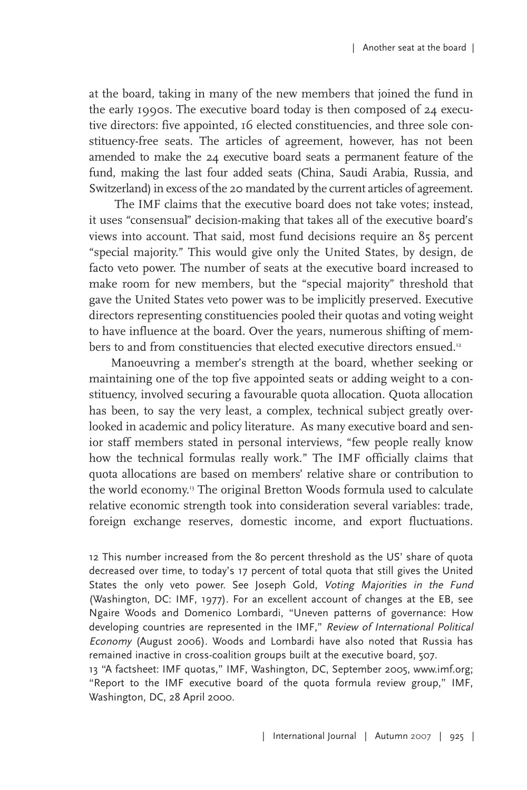at the board, taking in many of the new members that joined the fund in the early 1990s. The executive board today is then composed of 24 executive directors: five appointed, 16 elected constituencies, and three sole constituency-free seats. The articles of agreement, however, has not been amended to make the 24 executive board seats a permanent feature of the fund, making the last four added seats (China, Saudi Arabia, Russia, and Switzerland) in excess of the 20 mandated by the current articles of agreement.

The IMF claims that the executive board does not take votes; instead, it uses "consensual" decision-making that takes all of the executive board's views into account. That said, most fund decisions require an 85 percent "special majority." This would give only the United States, by design, de facto veto power. The number of seats at the executive board increased to make room for new members, but the "special majority" threshold that gave the United States veto power was to be implicitly preserved. Executive directors representing constituencies pooled their quotas and voting weight to have influence at the board. Over the years, numerous shifting of members to and from constituencies that elected executive directors ensued.12

Manoeuvring a member's strength at the board, whether seeking or maintaining one of the top five appointed seats or adding weight to a constituency, involved securing a favourable quota allocation. Quota allocation has been, to say the very least, a complex, technical subject greatly overlooked in academic and policy literature. As many executive board and senior staff members stated in personal interviews, "few people really know how the technical formulas really work." The IMF officially claims that quota allocations are based on members' relative share or contribution to the world economy. <sup>13</sup> The original Bretton Woods formula used to calculate relative economic strength took into consideration several variables: trade, foreign exchange reserves, domestic income, and export fluctuations.

12 This number increased from the 80 percent threshold as the US' share of quota decreased over time, to today's 17 percent of total quota that still gives the United States the only veto power. See Joseph Gold, Voting Majorities in the Fund (Washington, DC: IMF, 1977). For an excellent account of changes at the EB, see Ngaire Woods and Domenico Lombardi, "Uneven patterns of governance: How developing countries are represented in the IMF," Review of International Political Economy (August 2006). Woods and Lombardi have also noted that Russia has remained inactive in cross-coalition groups built at the executive board, 507.

13 "A factsheet: IMF quotas," IMF, Washington, DC, September 2005, www.imf.org; "Report to the IMF executive board of the quota formula review group," IMF, Washington, DC, 28 April 2000.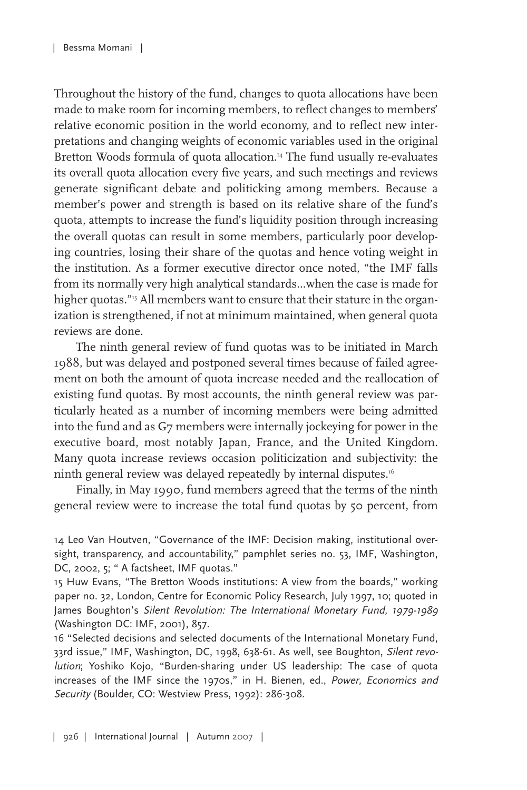Throughout the history of the fund, changes to quota allocations have been made to make room for incoming members, to reflect changes to members' relative economic position in the world economy, and to reflect new interpretations and changing weights of economic variables used in the original Bretton Woods formula of quota allocation. <sup>14</sup> The fund usually re-evaluates its overall quota allocation every five years, and such meetings and reviews generate significant debate and politicking among members. Because a member's power and strength is based on its relative share of the fund's quota, attempts to increase the fund's liquidity position through increasing the overall quotas can result in some members, particularly poor developing countries, losing their share of the quotas and hence voting weight in the institution. As a former executive director once noted, "the IMF falls from its normally very high analytical standards...when the case is made for higher quotas."<sup>15</sup> All members want to ensure that their stature in the organization is strengthened, if not at minimum maintained, when general quota reviews are done.

The ninth general review of fund quotas was to be initiated in March 1988, but was delayed and postponed several times because of failed agreement on both the amount of quota increase needed and the reallocation of existing fund quotas. By most accounts, the ninth general review was particularly heated as a number of incoming members were being admitted into the fund and as G7 members were internally jockeying for power in the executive board, most notably Japan, France, and the United Kingdom. Many quota increase reviews occasion politicization and subjectivity: the ninth general review was delayed repeatedly by internal disputes. 16

Finally, in May 1990, fund members agreed that the terms of the ninth general review were to increase the total fund quotas by 50 percent, from

14 Leo Van Houtven, "Governance of the IMF: Decision making, institutional oversight, transparency, and accountability," pamphlet series no. 53, IMF, Washington, DC, 2002, 5; " A factsheet, IMF quotas."

15 Huw Evans, "The Bretton Woods institutions: A view from the boards," working paper no. 32, London, Centre for Economic Policy Research, July 1997, 10; quoted in James Boughton's Silent Revolution: The International Monetary Fund, 1979-1989 (Washington DC: IMF, 2001), 857.

16 "Selected decisions and selected documents of the International Monetary Fund, 33rd issue," IMF, Washington, DC, 1998, 638-61. As well, see Boughton, Silent revolution; Yoshiko Kojo, "Burden-sharing under US leadership: The case of quota increases of the IMF since the 1970s," in H. Bienen, ed., Power, Economics and Security (Boulder, CO: Westview Press, 1992): 286-308.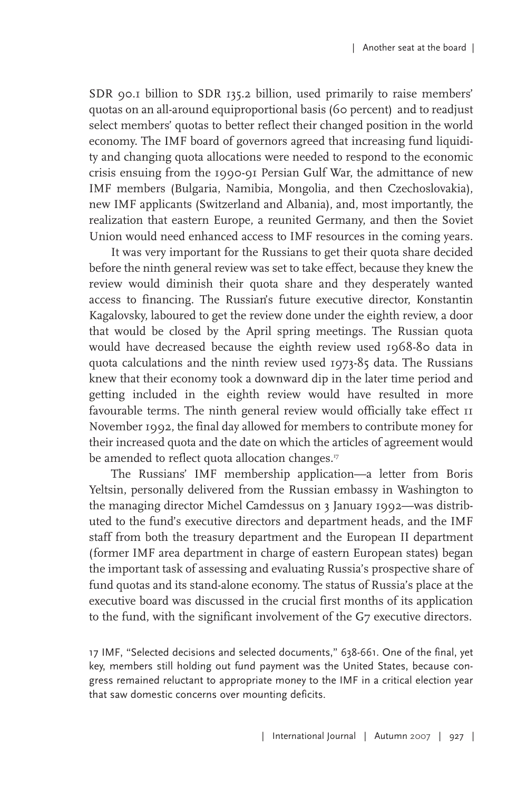SDR 90.1 billion to SDR 135.2 billion, used primarily to raise members' quotas on an all-around equiproportional basis (60 percent) and to readjust select members' quotas to better reflect their changed position in the world economy. The IMF board of governors agreed that increasing fund liquidity and changing quota allocations were needed to respond to the economic crisis ensuing from the 1990-91 Persian Gulf War, the admittance of new IMF members (Bulgaria, Namibia, Mongolia, and then Czechoslovakia), new IMF applicants (Switzerland and Albania), and, most importantly, the realization that eastern Europe, a reunited Germany, and then the Soviet Union would need enhanced access to IMF resources in the coming years.

It was very important for the Russians to get their quota share decided before the ninth general review was set to take effect, because they knew the review would diminish their quota share and they desperately wanted access to financing. The Russian's future executive director, Konstantin Kagalovsky, laboured to get the review done under the eighth review, a door that would be closed by the April spring meetings. The Russian quota would have decreased because the eighth review used 1968-80 data in quota calculations and the ninth review used 1973-85 data. The Russians knew that their economy took a downward dip in the later time period and getting included in the eighth review would have resulted in more favourable terms. The ninth general review would officially take effect 11 November 1992, the final day allowed for members to contribute money for their increased quota and the date on which the articles of agreement would be amended to reflect quota allocation changes."

The Russians' IMF membership application—a letter from Boris Yeltsin, personally delivered from the Russian embassy in Washington to the managing director Michel Camdessus on 3 January 1992—was distributed to the fund's executive directors and department heads, and the IMF staff from both the treasury department and the European II department (former IMF area department in charge of eastern European states) began the important task of assessing and evaluating Russia's prospective share of fund quotas and its stand-alone economy. The status of Russia's place at the executive board was discussed in the crucial first months of its application to the fund, with the significant involvement of the G7 executive directors.

17 IMF, "Selected decisions and selected documents," 638-661. One of the final, yet key, members still holding out fund payment was the United States, because congress remained reluctant to appropriate money to the IMF in a critical election year that saw domestic concerns over mounting deficits.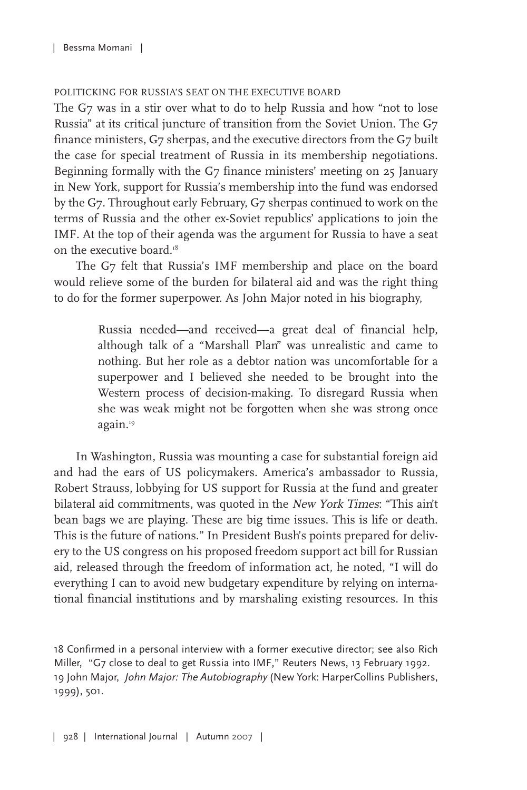#### POLITICKING FOR RUSSIA'S SEAT ON THE EXECUTIVE BOARD

The G7 was in a stir over what to do to help Russia and how "not to lose Russia" at its critical juncture of transition from the Soviet Union. The G7 finance ministers, G7 sherpas, and the executive directors from the G7 built the case for special treatment of Russia in its membership negotiations. Beginning formally with the G7 finance ministers' meeting on 25 January in New York, support for Russia's membership into the fund was endorsed by the G7. Throughout early February, G7 sherpas continued to work on the terms of Russia and the other ex-Soviet republics' applications to join the IMF. At the top of their agenda was the argument for Russia to have a seat on the executive board. 18

The G7 felt that Russia's IMF membership and place on the board would relieve some of the burden for bilateral aid and was the right thing to do for the former superpower. As John Major noted in his biography,

> Russia needed—and received—a great deal of financial help, although talk of a "Marshall Plan" was unrealistic and came to nothing. But her role as a debtor nation was uncomfortable for a superpower and I believed she needed to be brought into the Western process of decision-making. To disregard Russia when she was weak might not be forgotten when she was strong once again. 19

In Washington, Russia was mounting a case for substantial foreign aid and had the ears of US policymakers. America's ambassador to Russia, Robert Strauss, lobbying for US support for Russia at the fund and greater bilateral aid commitments, was quoted in the New York Times: "This ain't bean bags we are playing. These are big time issues. This is life or death. This is the future of nations." In President Bush's points prepared for delivery to the US congress on his proposed freedom support act bill for Russian aid, released through the freedom of information act, he noted, "I will do everything I can to avoid new budgetary expenditure by relying on international financial institutions and by marshaling existing resources. In this

18 Confirmed in a personal interview with a former executive director; see also Rich Miller, "G7 close to deal to get Russia into IMF," Reuters News, 13 February 1992. 19 John Major, John Major: The Autobiography (New York: HarperCollins Publishers, 1999), 501.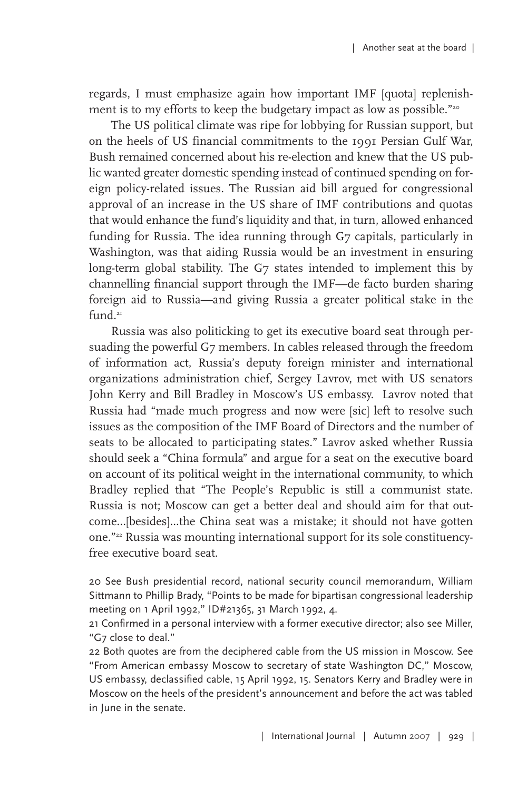regards, I must emphasize again how important IMF [quota] replenishment is to my efforts to keep the budgetary impact as low as possible."<sup>20</sup>

The US political climate was ripe for lobbying for Russian support, but on the heels of US financial commitments to the 1991 Persian Gulf War, Bush remained concerned about his re-election and knew that the US public wanted greater domestic spending instead of continued spending on foreign policy-related issues. The Russian aid bill argued for congressional approval of an increase in the US share of IMF contributions and quotas that would enhance the fund's liquidity and that, in turn, allowed enhanced funding for Russia. The idea running through G7 capitals, particularly in Washington, was that aiding Russia would be an investment in ensuring long-term global stability. The G7 states intended to implement this by channelling financial support through the IMF—de facto burden sharing foreign aid to Russia—and giving Russia a greater political stake in the fund. 21

Russia was also politicking to get its executive board seat through persuading the powerful G7 members. In cables released through the freedom of information act, Russia's deputy foreign minister and international organizations administration chief, Sergey Lavrov, met with US senators John Kerry and Bill Bradley in Moscow's US embassy. Lavrov noted that Russia had "made much progress and now were [sic] left to resolve such issues as the composition of the IMF Board of Directors and the number of seats to be allocated to participating states." Lavrov asked whether Russia should seek a "China formula" and argue for a seat on the executive board on account of its political weight in the international community, to which Bradley replied that "The People's Republic is still a communist state. Russia is not; Moscow can get a better deal and should aim for that outcome...[besides]...the China seat was a mistake; it should not have gotten one."22 Russia was mounting international support for its sole constituencyfree executive board seat.

20 See Bush presidential record, national security council memorandum, William Sittmann to Phillip Brady, "Points to be made for bipartisan congressional leadership meeting on 1 April 1992," ID#21365, 31 March 1992, 4.

21 Confirmed in a personal interview with a former executive director; also see Miller, "G7 close to deal."

22 Both quotes are from the deciphered cable from the US mission in Moscow. See "From American embassy Moscow to secretary of state Washington DC," Moscow, US embassy, declassified cable, 15 April 1992, 15. Senators Kerry and Bradley were in Moscow on the heels of the president's announcement and before the act was tabled in June in the senate.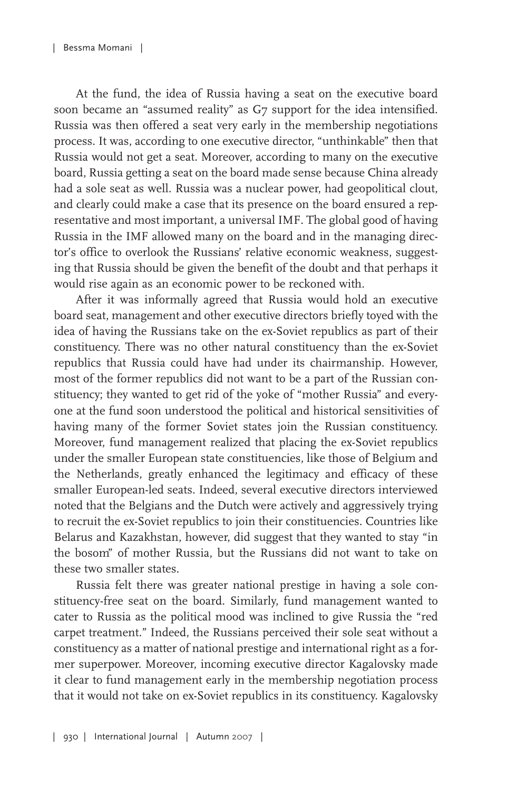At the fund, the idea of Russia having a seat on the executive board soon became an "assumed reality" as G7 support for the idea intensified. Russia was then offered a seat very early in the membership negotiations process. It was, according to one executive director, "unthinkable" then that Russia would not get a seat. Moreover, according to many on the executive board, Russia getting a seat on the board made sense because China already had a sole seat as well. Russia was a nuclear power, had geopolitical clout, and clearly could make a case that its presence on the board ensured a representative and most important, a universal IMF. The global good of having Russia in the IMF allowed many on the board and in the managing director's office to overlook the Russians' relative economic weakness, suggesting that Russia should be given the benefit of the doubt and that perhaps it would rise again as an economic power to be reckoned with.

After it was informally agreed that Russia would hold an executive board seat, management and other executive directors briefly toyed with the idea of having the Russians take on the ex-Soviet republics as part of their constituency. There was no other natural constituency than the ex-Soviet republics that Russia could have had under its chairmanship. However, most of the former republics did not want to be a part of the Russian constituency; they wanted to get rid of the yoke of "mother Russia" and everyone at the fund soon understood the political and historical sensitivities of having many of the former Soviet states join the Russian constituency. Moreover, fund management realized that placing the ex-Soviet republics under the smaller European state constituencies, like those of Belgium and the Netherlands, greatly enhanced the legitimacy and efficacy of these smaller European-led seats. Indeed, several executive directors interviewed noted that the Belgians and the Dutch were actively and aggressively trying to recruit the ex-Soviet republics to join their constituencies. Countries like Belarus and Kazakhstan, however, did suggest that they wanted to stay "in the bosom" of mother Russia, but the Russians did not want to take on these two smaller states.

Russia felt there was greater national prestige in having a sole constituency-free seat on the board. Similarly, fund management wanted to cater to Russia as the political mood was inclined to give Russia the "red carpet treatment." Indeed, the Russians perceived their sole seat without a constituency as a matter of national prestige and international right as a former superpower. Moreover, incoming executive director Kagalovsky made it clear to fund management early in the membership negotiation process that it would not take on ex-Soviet republics in its constituency. Kagalovsky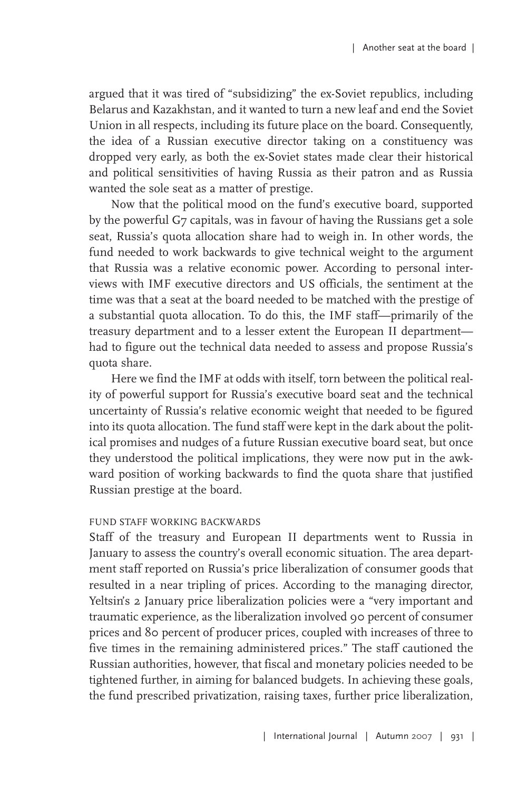argued that it was tired of "subsidizing" the ex-Soviet republics, including Belarus and Kazakhstan, and it wanted to turn a new leaf and end the Soviet Union in all respects, including its future place on the board. Consequently, the idea of a Russian executive director taking on a constituency was dropped very early, as both the ex-Soviet states made clear their historical and political sensitivities of having Russia as their patron and as Russia wanted the sole seat as a matter of prestige.

Now that the political mood on the fund's executive board, supported by the powerful G7 capitals, was in favour of having the Russians get a sole seat, Russia's quota allocation share had to weigh in. In other words, the fund needed to work backwards to give technical weight to the argument that Russia was a relative economic power. According to personal interviews with IMF executive directors and US officials, the sentiment at the time was that a seat at the board needed to be matched with the prestige of a substantial quota allocation. To do this, the IMF staff—primarily of the treasury department and to a lesser extent the European II department had to figure out the technical data needed to assess and propose Russia's quota share.

Here we find the IMF at odds with itself, torn between the political reality of powerful support for Russia's executive board seat and the technical uncertainty of Russia's relative economic weight that needed to be figured into its quota allocation. The fund staff were kept in the dark about the political promises and nudges of a future Russian executive board seat, but once they understood the political implications, they were now put in the awkward position of working backwards to find the quota share that justified Russian prestige at the board.

#### FUND STAFF WORKING BACKWARDS

Staff of the treasury and European II departments went to Russia in January to assess the country's overall economic situation. The area department staff reported on Russia's price liberalization of consumer goods that resulted in a near tripling of prices. According to the managing director, Yeltsin's 2 January price liberalization policies were a "very important and traumatic experience, as the liberalization involved 90 percent of consumer prices and 80 percent of producer prices, coupled with increases of three to five times in the remaining administered prices." The staff cautioned the Russian authorities, however, that fiscal and monetary policies needed to be tightened further, in aiming for balanced budgets. In achieving these goals, the fund prescribed privatization, raising taxes, further price liberalization,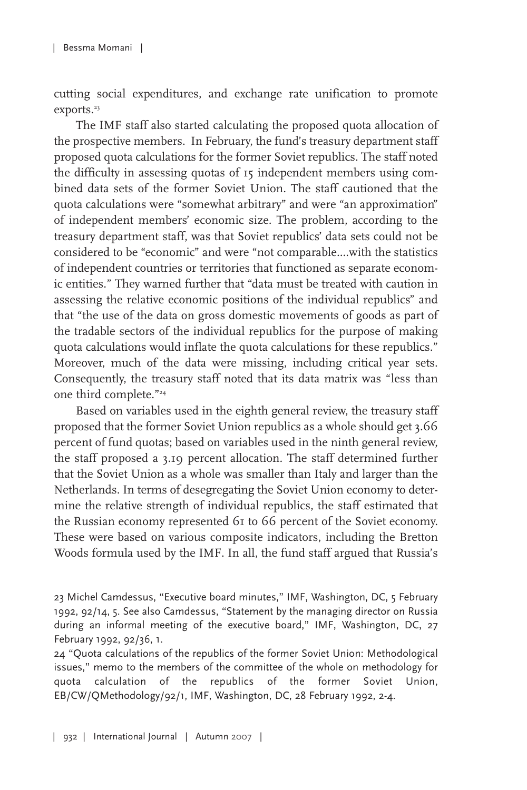cutting social expenditures, and exchange rate unification to promote exports. 23

The IMF staff also started calculating the proposed quota allocation of the prospective members. In February, the fund's treasury department staff proposed quota calculations for the former Soviet republics. The staff noted the difficulty in assessing quotas of 15 independent members using combined data sets of the former Soviet Union. The staff cautioned that the quota calculations were "somewhat arbitrary" and were "an approximation" of independent members' economic size. The problem, according to the treasury department staff, was that Soviet republics' data sets could not be considered to be "economic" and were "not comparable....with the statistics of independent countries or territories that functioned as separate economic entities." They warned further that "data must be treated with caution in assessing the relative economic positions of the individual republics" and that "the use of the data on gross domestic movements of goods as part of the tradable sectors of the individual republics for the purpose of making quota calculations would inflate the quota calculations for these republics." Moreover, much of the data were missing, including critical year sets. Consequently, the treasury staff noted that its data matrix was "less than one third complete."24

Based on variables used in the eighth general review, the treasury staff proposed that the former Soviet Union republics as a whole should get 3.66 percent of fund quotas; based on variables used in the ninth general review, the staff proposed a 3.19 percent allocation. The staff determined further that the Soviet Union as a whole was smaller than Italy and larger than the Netherlands. In terms of desegregating the Soviet Union economy to determine the relative strength of individual republics, the staff estimated that the Russian economy represented 61 to 66 percent of the Soviet economy. These were based on various composite indicators, including the Bretton Woods formula used by the IMF. In all, the fund staff argued that Russia's

<sup>23</sup> Michel Camdessus, "Executive board minutes," IMF, Washington, DC, 5 February 1992, 92/14, 5. See also Camdessus, "Statement by the managing director on Russia during an informal meeting of the executive board," IMF, Washington, DC, 27 February 1992, 92/36, 1.

<sup>24</sup> "Quota calculations of the republics of the former Soviet Union: Methodological issues," memo to the members of the committee of the whole on methodology for quota calculation of the republics of the former Soviet Union, EB/CW/QMethodology/92/1, IMF, Washington, DC, 28 February 1992, 2-4.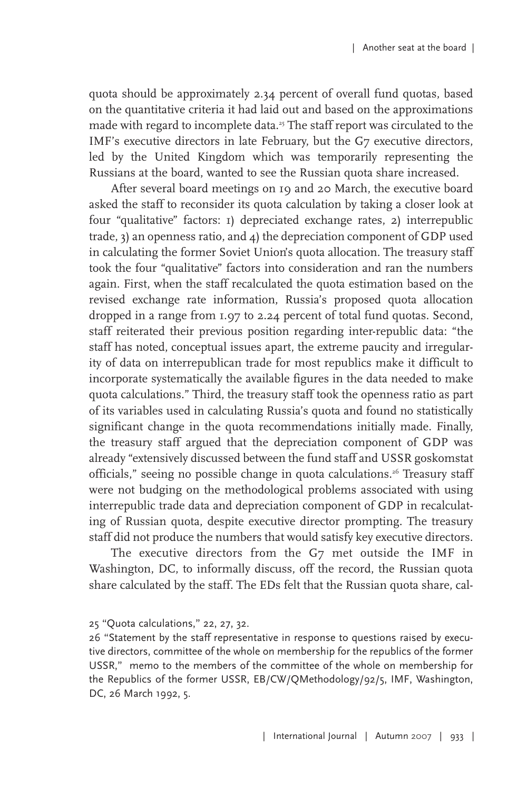quota should be approximately 2.34 percent of overall fund quotas, based on the quantitative criteria it had laid out and based on the approximations made with regard to incomplete data. <sup>25</sup> The staff report was circulated to the IMF's executive directors in late February, but the G7 executive directors, led by the United Kingdom which was temporarily representing the Russians at the board, wanted to see the Russian quota share increased.

After several board meetings on 19 and 20 March, the executive board asked the staff to reconsider its quota calculation by taking a closer look at four "qualitative" factors: 1) depreciated exchange rates, 2) interrepublic trade, 3) an openness ratio, and 4) the depreciation component of GDP used in calculating the former Soviet Union's quota allocation. The treasury staff took the four "qualitative" factors into consideration and ran the numbers again. First, when the staff recalculated the quota estimation based on the revised exchange rate information, Russia's proposed quota allocation dropped in a range from 1.97 to 2.24 percent of total fund quotas. Second, staff reiterated their previous position regarding inter-republic data: "the staff has noted, conceptual issues apart, the extreme paucity and irregularity of data on interrepublican trade for most republics make it difficult to incorporate systematically the available figures in the data needed to make quota calculations." Third, the treasury staff took the openness ratio as part of its variables used in calculating Russia's quota and found no statistically significant change in the quota recommendations initially made. Finally, the treasury staff argued that the depreciation component of GDP was already "extensively discussed between the fund staff and USSR goskomstat officials," seeing no possible change in quota calculations. <sup>26</sup> Treasury staff were not budging on the methodological problems associated with using interrepublic trade data and depreciation component of GDP in recalculating of Russian quota, despite executive director prompting. The treasury staff did not produce the numbers that would satisfy key executive directors.

The executive directors from the G7 met outside the IMF in Washington, DC, to informally discuss, off the record, the Russian quota share calculated by the staff. The EDs felt that the Russian quota share, cal-

<sup>25</sup> "Quota calculations," 22, 27, 32.

<sup>26</sup> "Statement by the staff representative in response to questions raised by executive directors, committee of the whole on membership for the republics of the former USSR," memo to the members of the committee of the whole on membership for the Republics of the former USSR, EB/CW/QMethodology/92/5, IMF, Washington, DC, 26 March 1992, 5.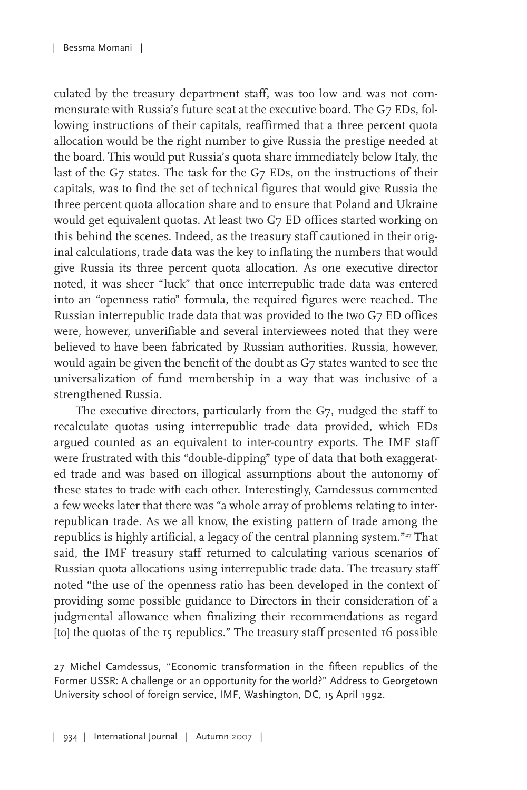culated by the treasury department staff, was too low and was not commensurate with Russia's future seat at the executive board. The G7 EDs, following instructions of their capitals, reaffirmed that a three percent quota allocation would be the right number to give Russia the prestige needed at the board. This would put Russia's quota share immediately below Italy, the last of the G7 states. The task for the G7 EDs, on the instructions of their capitals, was to find the set of technical figures that would give Russia the three percent quota allocation share and to ensure that Poland and Ukraine would get equivalent quotas. At least two G7 ED offices started working on this behind the scenes. Indeed, as the treasury staff cautioned in their original calculations, trade data was the key to inflating the numbers that would give Russia its three percent quota allocation. As one executive director noted, it was sheer "luck" that once interrepublic trade data was entered into an "openness ratio" formula, the required figures were reached. The Russian interrepublic trade data that was provided to the two G7 ED offices were, however, unverifiable and several interviewees noted that they were believed to have been fabricated by Russian authorities. Russia, however, would again be given the benefit of the doubt as G7 states wanted to see the universalization of fund membership in a way that was inclusive of a strengthened Russia.

The executive directors, particularly from the G7, nudged the staff to recalculate quotas using interrepublic trade data provided, which EDs argued counted as an equivalent to inter-country exports. The IMF staff were frustrated with this "double-dipping" type of data that both exaggerated trade and was based on illogical assumptions about the autonomy of these states to trade with each other. Interestingly, Camdessus commented a few weeks later that there was "a whole array of problems relating to interrepublican trade. As we all know, the existing pattern of trade among the republics is highly artificial, a legacy of the central planning system."<sup>27</sup> That said, the IMF treasury staff returned to calculating various scenarios of Russian quota allocations using interrepublic trade data. The treasury staff noted "the use of the openness ratio has been developed in the context of providing some possible guidance to Directors in their consideration of a judgmental allowance when finalizing their recommendations as regard [to] the quotas of the 15 republics." The treasury staff presented 16 possible

27 Michel Camdessus, "Economic transformation in the fifteen republics of the Former USSR: A challenge or an opportunity for the world?" Address to Georgetown University school of foreign service, IMF, Washington, DC, 15 April 1992.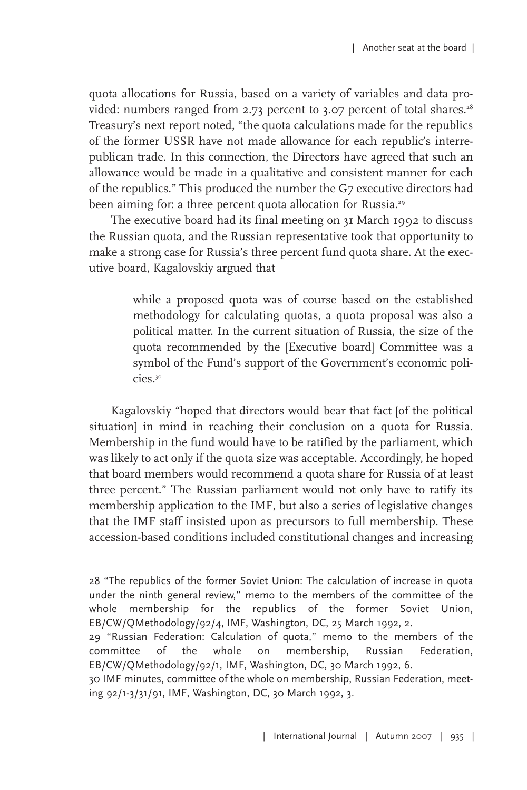quota allocations for Russia, based on a variety of variables and data provided: numbers ranged from 2.73 percent to 3.07 percent of total shares. 28 Treasury's next report noted, "the quota calculations made for the republics of the former USSR have not made allowance for each republic's interrepublican trade. In this connection, the Directors have agreed that such an allowance would be made in a qualitative and consistent manner for each of the republics." This produced the number the G7 executive directors had been aiming for: a three percent quota allocation for Russia. 29

The executive board had its final meeting on 31 March 1992 to discuss the Russian quota, and the Russian representative took that opportunity to make a strong case for Russia's three percent fund quota share. At the executive board, Kagalovskiy argued that

> while a proposed quota was of course based on the established methodology for calculating quotas, a quota proposal was also a political matter. In the current situation of Russia, the size of the quota recommended by the [Executive board] Committee was a symbol of the Fund's support of the Government's economic policies. 30

Kagalovskiy "hoped that directors would bear that fact [of the political situation] in mind in reaching their conclusion on a quota for Russia. Membership in the fund would have to be ratified by the parliament, which was likely to act only if the quota size was acceptable. Accordingly, he hoped that board members would recommend a quota share for Russia of at least three percent." The Russian parliament would not only have to ratify its membership application to the IMF, but also a series of legislative changes that the IMF staff insisted upon as precursors to full membership. These accession-based conditions included constitutional changes and increasing

28 "The republics of the former Soviet Union: The calculation of increase in quota under the ninth general review," memo to the members of the committee of the whole membership for the republics of the former Soviet Union, EB/CW/QMethodology/92/4, IMF, Washington, DC, 25 March 1992, 2.

29 "Russian Federation: Calculation of quota," memo to the members of the committee of the whole on membership, Russian Federation, EB/CW/QMethodology/92/1, IMF, Washington, DC, 30 March 1992, 6.

30 IMF minutes, committee of the whole on membership, Russian Federation, meeting 92/1-3/31/91, IMF, Washington, DC, 30 March 1992, 3.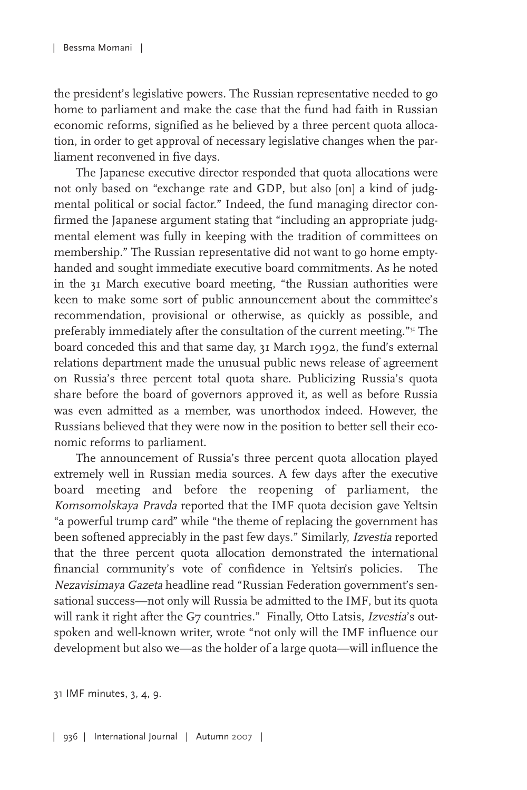the president's legislative powers. The Russian representative needed to go home to parliament and make the case that the fund had faith in Russian economic reforms, signified as he believed by a three percent quota allocation, in order to get approval of necessary legislative changes when the parliament reconvened in five days.

The Japanese executive director responded that quota allocations were not only based on "exchange rate and GDP, but also [on] a kind of judgmental political or social factor." Indeed, the fund managing director confirmed the Japanese argument stating that "including an appropriate judgmental element was fully in keeping with the tradition of committees on membership." The Russian representative did not want to go home emptyhanded and sought immediate executive board commitments. As he noted in the 31 March executive board meeting, "the Russian authorities were keen to make some sort of public announcement about the committee's recommendation, provisional or otherwise, as quickly as possible, and preferably immediately after the consultation of the current meeting."<sup>31</sup> The board conceded this and that same day, 31 March 1992, the fund's external relations department made the unusual public news release of agreement on Russia's three percent total quota share. Publicizing Russia's quota share before the board of governors approved it, as well as before Russia was even admitted as a member, was unorthodox indeed. However, the Russians believed that they were now in the position to better sell their economic reforms to parliament.

The announcement of Russia's three percent quota allocation played extremely well in Russian media sources. A few days after the executive board meeting and before the reopening of parliament, the Komsomolskaya Pravda reported that the IMF quota decision gave Yeltsin "a powerful trump card" while "the theme of replacing the government has been softened appreciably in the past few days." Similarly, Izvestia reported that the three percent quota allocation demonstrated the international financial community's vote of confidence in Yeltsin's policies. The Nezavisimaya Gazeta headline read "Russian Federation government's sensational success—not only will Russia be admitted to the IMF, but its quota will rank it right after the G7 countries." Finally, Otto Latsis, Izvestia's outspoken and well-known writer, wrote "not only will the IMF influence our development but also we—as the holder of a large quota—will influence the

31 IMF minutes, 3, 4, 9.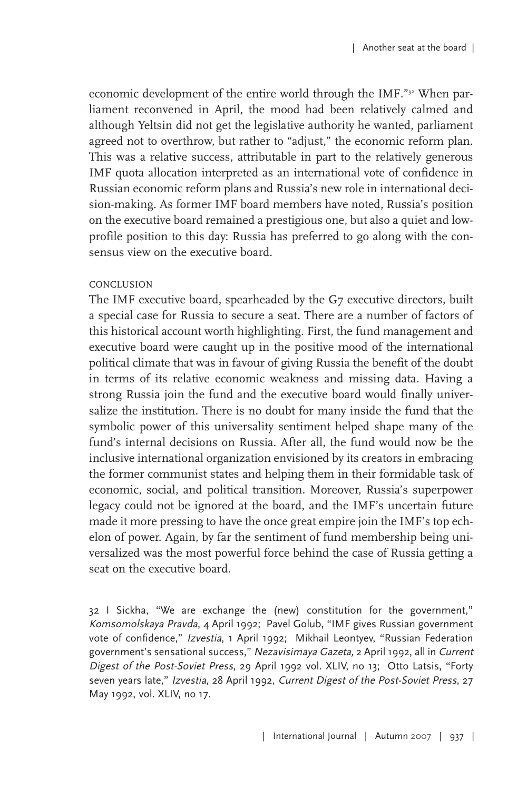economic development of the entire world through the IMF."<sup>32</sup> When parliament reconvened in April, the mood had been relatively calmed and although Yeltsin did not get the legislative authority he wanted, parliament agreed not to overthrow, but rather to "adjust," the economic reform plan. This was a relative success, attributable in part to the relatively generous IMF quota allocation interpreted as an international vote of confidence in Russian economic reform plans and Russia's new role in international decision-making. As former IMF board members have noted, Russia's position on the executive board remained a prestigious one, but also a quiet and lowprofile position to this day: Russia has preferred to go along with the consensus view on the executive board.

#### CONCLUSION

The IMF executive board, spearheaded by the G7 executive directors, built a special case for Russia to secure a seat. There are a number of factors of this historical account worth highlighting. First, the fund management and executive board were caught up in the positive mood of the international political climate that was in favour of giving Russia the benefit of the doubt in terms of its relative economic weakness and missing data. Having a strong Russia join the fund and the executive board would finally universalize the institution. There is no doubt for many inside the fund that the symbolic power of this universality sentiment helped shape many of the fund's internal decisions on Russia. After all, the fund would now be the inclusive international organization envisioned by its creators in embracing the former communist states and helping them in their formidable task of economic, social, and political transition. Moreover, Russia's superpower legacy could not be ignored at the board, and the IMF's uncertain future made it more pressing to have the once great empire join the IMF's top echelon of power. Again, by far the sentiment of fund membership being universalized was the most powerful force behind the case of Russia getting a seat on the executive board.

32 I Sickha, "We are exchange the (new) constitution for the government," Komsomolskaya Pravda, 4 April 1992; Pavel Golub, "IMF gives Russian government vote of confidence," Izvestia, 1 April 1992; Mikhail Leontyev, "Russian Federation government's sensational success," Nezavisimaya Gazeta, 2 April 1992, all in Current Digest of the Post-Soviet Press, 29 April 1992 vol. XLIV, no 13; Otto Latsis, "Forty seven years late," Izvestia, 28 April 1992, Current Digest of the Post-Soviet Press, 27 May 1992, vol. XLIV, no 17.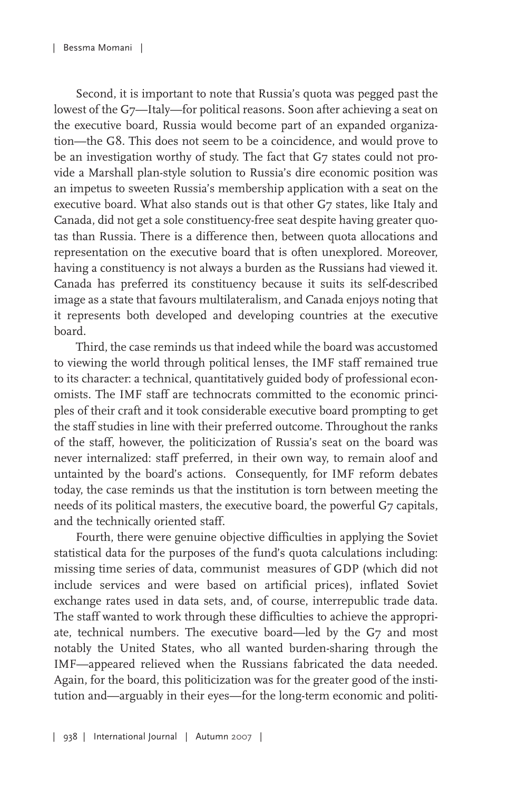Second, it is important to note that Russia's quota was pegged past the lowest of the G7—Italy—for political reasons. Soon after achieving a seat on the executive board, Russia would become part of an expanded organization—the G8. This does not seem to be a coincidence, and would prove to be an investigation worthy of study. The fact that G7 states could not provide a Marshall plan-style solution to Russia's dire economic position was an impetus to sweeten Russia's membership application with a seat on the executive board. What also stands out is that other G7 states, like Italy and Canada, did not get a sole constituency-free seat despite having greater quotas than Russia. There is a difference then, between quota allocations and representation on the executive board that is often unexplored. Moreover, having a constituency is not always a burden as the Russians had viewed it. Canada has preferred its constituency because it suits its self-described image as a state that favours multilateralism, and Canada enjoys noting that it represents both developed and developing countries at the executive board.

Third, the case reminds us that indeed while the board was accustomed to viewing the world through political lenses, the IMF staff remained true to its character: a technical, quantitatively guided body of professional economists. The IMF staff are technocrats committed to the economic principles of their craft and it took considerable executive board prompting to get the staff studies in line with their preferred outcome. Throughout the ranks of the staff, however, the politicization of Russia's seat on the board was never internalized: staff preferred, in their own way, to remain aloof and untainted by the board's actions. Consequently, for IMF reform debates today, the case reminds us that the institution is torn between meeting the needs of its political masters, the executive board, the powerful G7 capitals, and the technically oriented staff.

Fourth, there were genuine objective difficulties in applying the Soviet statistical data for the purposes of the fund's quota calculations including: missing time series of data, communist measures of GDP (which did not include services and were based on artificial prices), inflated Soviet exchange rates used in data sets, and, of course, interrepublic trade data. The staff wanted to work through these difficulties to achieve the appropriate, technical numbers. The executive board—led by the G7 and most notably the United States, who all wanted burden-sharing through the IMF—appeared relieved when the Russians fabricated the data needed. Again, for the board, this politicization was for the greater good of the institution and—arguably in their eyes—for the long-term economic and politi